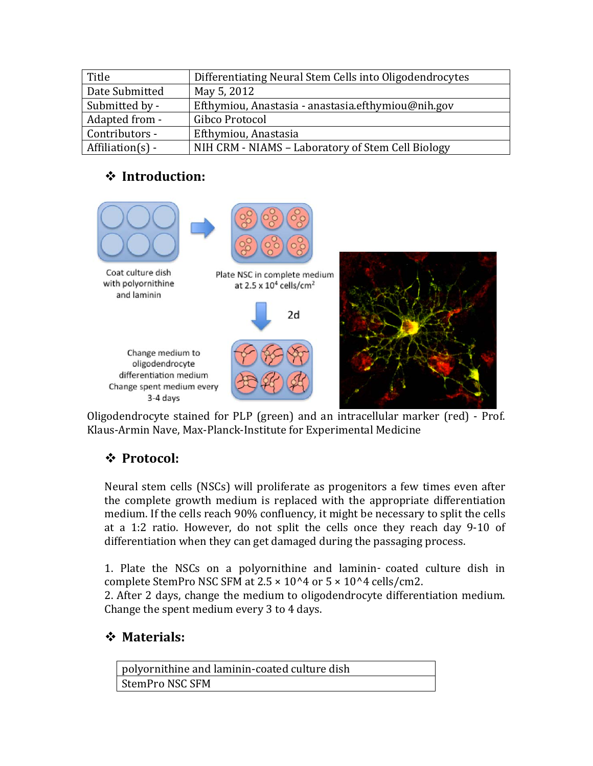| Title             | Differentiating Neural Stem Cells into Oligodendrocytes |  |
|-------------------|---------------------------------------------------------|--|
| Date Submitted    | May 5, 2012                                             |  |
| Submitted by -    | Efthymiou, Anastasia - anastasia.efthymiou@nih.gov      |  |
| Adapted from -    | Gibco Protocol                                          |  |
| Contributors -    | Efthymiou, Anastasia                                    |  |
| $Affilation(s) -$ | NIH CRM - NIAMS - Laboratory of Stem Cell Biology       |  |

## **Introduction:**



Oligodendrocyte stained for PLP (green) and an intracellular marker (red) - Prof. Klaus-Armin Nave, Max-Planck-Institute for Experimental Medicine

## **Protocol:**

Neural stem cells (NSCs) will proliferate as progenitors a few times even after the complete growth medium is replaced with the appropriate differentiation medium. If the cells reach 90% confluency, it might be necessary to split the cells at a 1:2 ratio. However, do not split the cells once they reach day 9-10 of differentiation when they can get damaged during the passaging process.

1. Plate the NSCs on a polyornithine and laminin‑ coated culture dish in complete StemPro NSC SFM at  $2.5 \times 10^{4}$  or  $5 \times 10^{4}$  cells/cm2.

2. After 2 days, change the medium to oligodendrocyte differentiation medium. Change the spent medium every 3 to 4 days.

## **Materials:**